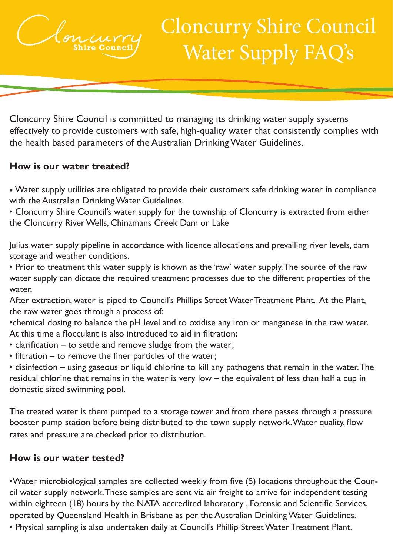

# Cloncurry Shire Council Water Supply FAQ's

**Annual Budget** Cloncurry Shire Council is committed to managing its drinking water supply systems effectively to provide customers with safe, high-quality water that consistently complies with<br>the health based parameters of the Australian Drinking Water Guidelines. the health based parameters of the Australian Drinking Water Guidelines.

## **How is our water treated?**

• Water supply utilities are obligated to provide their customers safe drinking water in compliance with the Australian Drinking Water Guidelines.

• Cloncurry Shire Council's water supply for the township of Cloncurry is extracted from either the Cloncurry River Wells, Chinamans Creek Dam or Lake

Julius water supply pipeline in accordance with licence allocations and prevailing river levels, dam storage and weather conditions.

• Prior to treatment this water supply is known as the 'raw' water supply. The source of the raw water supply can dictate the required treatment processes due to the different properties of the water.

After extraction, water is piped to Council's Phillips Street Water Treatment Plant. At the Plant, the raw water goes through a process of:

•chemical dosing to balance the pH level and to oxidise any iron or manganese in the raw water. At this time a flocculant is also introduced to aid in filtration;

- clarification to settle and remove sludge from the water;
- filtration to remove the finer particles of the water;

• disinfection – using gaseous or liquid chlorine to kill any pathogens that remain in the water. The residual chlorine that remains in the water is very low – the equivalent of less than half a cup in domestic sized swimming pool.

The treated water is them pumped to a storage tower and from there passes through a pressure booster pump station before being distributed to the town supply network. Water quality, flow rates and pressure are checked prior to distribution.

#### **How is our water tested?**

•Water microbiological samples are collected weekly from five (5) locations throughout the Council water supply network. These samples are sent via air freight to arrive for independent testing within eighteen (18) hours by the NATA accredited laboratory , Forensic and Scientific Services, operated by Queensland Health in Brisbane as per the Australian Drinking Water Guidelines.

**Page 1 Corporate Plan 2015** - 2020 **Page 12020 Page 12020 Page 12020 Page 12020 Page 12020 Page 12020** • Physical sampling is also undertaken daily at Council's Phillip Street Water Treatment Plant.